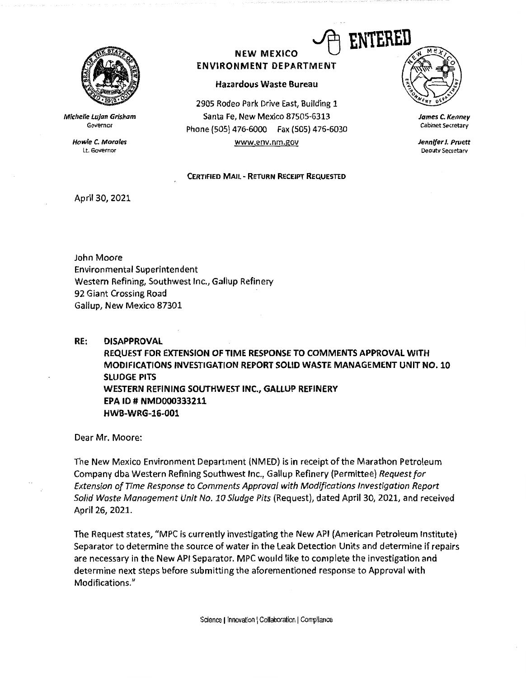

**Michelle Lujan Grisham**  Governor

> **Howle C. Morales**  Lt. Governor

## **NEW MEXICO ENVIRONMENT DEPARTMENT**

## **Hazardous Waste Bureau**

2905 Rodeo Park Drive East, Building 1 Santa Fe, New Mexico 87505-6313 Phone {505} 476-6000 Fax (505) 476-6030 www.env.nm.gov

**CERTIFIED MAIL** - **RETURN RECEIPT REQUESTED** 

## ENTERED

*James C.* **Kenney**  Cabinet Secretary

*Jennifer* **J,** *Pruett*  Deoutv Secretarv

April 30, 2021

John Moore Environmental Superintendent Western Refining, Southwest Inc., Gallup Refinery 92 Giant Crossing Road Gallup, New Mexico 87301

**RE: DISAPPROVAL REQUEST FOR EXTENSION OF TIME RESPONSE TO COMMENTS APPROVAL WITH MODIFICATIONS INVESTIGATION REPORT SOLID WASTE MANAGEMENT UNIT NO. 10 SLUDGE PITS WESTERN REFINING SOUTHWEST INC., GALLUP REFINERY EPA ID# NMD000333211 HWB-WRG-16-001** 

Dear Mr. Moore:

The New Mexico Environment Department (NMED) is in receipt of the Marathon Petroleum Company dba Western Refining Southwest Inc., Gallup Refinery (Permittee) *Request for Extension of Time Response to Comments Approval with Modifications Investigation Report Solid Waste Management Unit No. 10 Sludge Pits* (Request), dated April 30, 2021, and received April 26, 2021.

The Request states, "MPC is currently investigating the New API (American Petroleum Institute) Separator to determine the source of water in the Leak Detection Units and determine if repairs are necessary in the New API Separator. MPC would like to complete the investigation and determine next steps before submitting the aforementioned response to Approval with Modifications."